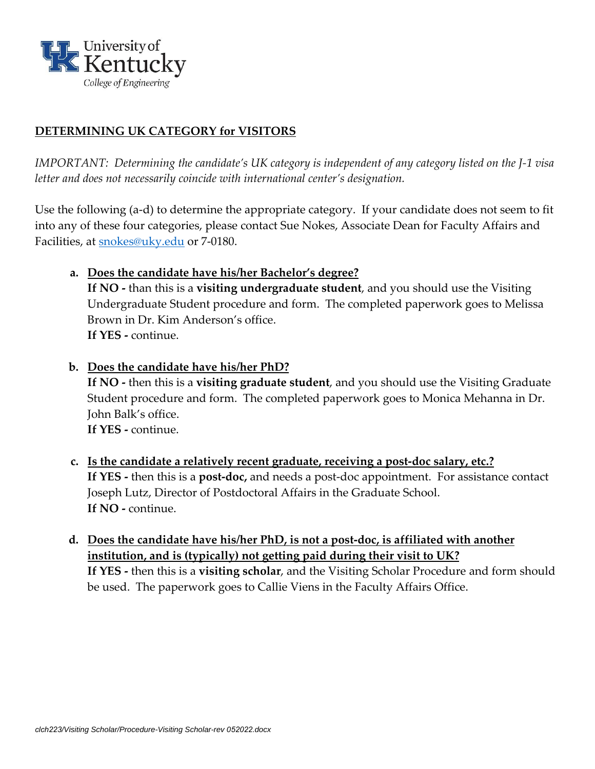

### **DETERMINING UK CATEGORY for VISITORS**

*IMPORTANT: Determining the candidate's UK category is independent of any category listed on the J-1 visa letter and does not necessarily coincide with international center's designation.*

Use the following (a-d) to determine the appropriate category. If your candidate does not seem to fit into any of these four categories, please contact Sue Nokes, Associate Dean for Faculty Affairs and Facilities, at [snokes@uky.edu](mailto:snokes@uky.edu) or 7-0180.

- **a. Does the candidate have his/her Bachelor's degree? If NO -** than this is a **visiting undergraduate student**, and you should use the Visiting Undergraduate Student procedure and form. The completed paperwork goes to Melissa Brown in Dr. Kim Anderson's office. **If YES -** continue.
- **b. Does the candidate have his/her PhD? If NO -** then this is a **visiting graduate student**, and you should use the Visiting Graduate Student procedure and form. The completed paperwork goes to Monica Mehanna in Dr. John Balk's office. **If YES -** continue.
- **c. Is the candidate a relatively recent graduate, receiving a post-doc salary, etc.? If YES -** then this is a **post-doc,** and needs a post-doc appointment. For assistance contact Joseph Lutz, Director of Postdoctoral Affairs in the Graduate School. **If NO -** continue.
- **d. Does the candidate have his/her PhD, is not a post-doc, is affiliated with another institution, and is (typically) not getting paid during their visit to UK? If YES -** then this is a **visiting scholar**, and the Visiting Scholar Procedure and form should be used. The paperwork goes to Callie Viens in the Faculty Affairs Office.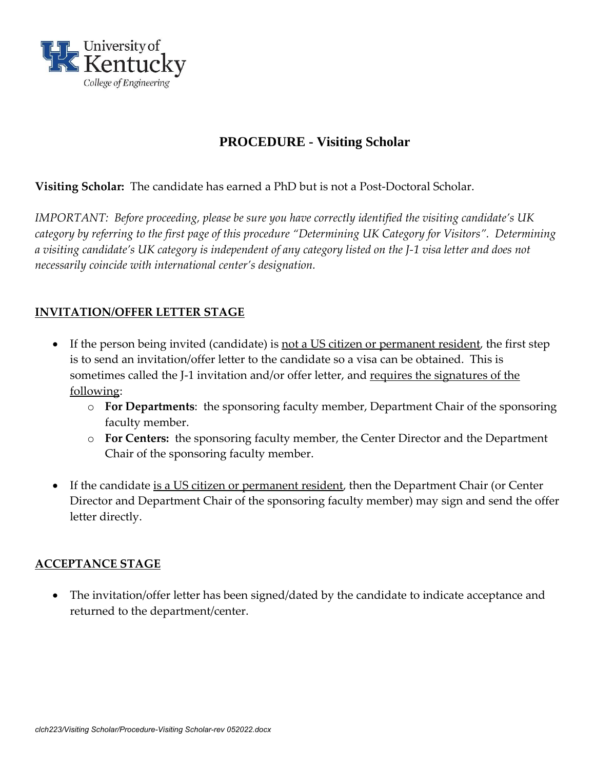

# **PROCEDURE - Visiting Scholar**

**Visiting Scholar:** The candidate has earned a PhD but is not a Post-Doctoral Scholar.

*IMPORTANT: Before proceeding, please be sure you have correctly identified the visiting candidate's UK category by referring to the first page of this procedure "Determining UK Category for Visitors". Determining a visiting candidate's UK category is independent of any category listed on the J-1 visa letter and does not necessarily coincide with international center's designation.*

## **INVITATION/OFFER LETTER STAGE**

- If the person being invited (candidate) is not a US citizen or permanent resident, the first step is to send an invitation/offer letter to the candidate so a visa can be obtained. This is sometimes called the J-1 invitation and/or offer letter, and requires the signatures of the following:
	- o **For Departments**: the sponsoring faculty member, Department Chair of the sponsoring faculty member.
	- o **For Centers:** the sponsoring faculty member, the Center Director and the Department Chair of the sponsoring faculty member.
- If the candidate is a US citizen or permanent resident, then the Department Chair (or Center Director and Department Chair of the sponsoring faculty member) may sign and send the offer letter directly.

### **ACCEPTANCE STAGE**

• The invitation/offer letter has been signed/dated by the candidate to indicate acceptance and returned to the department/center.